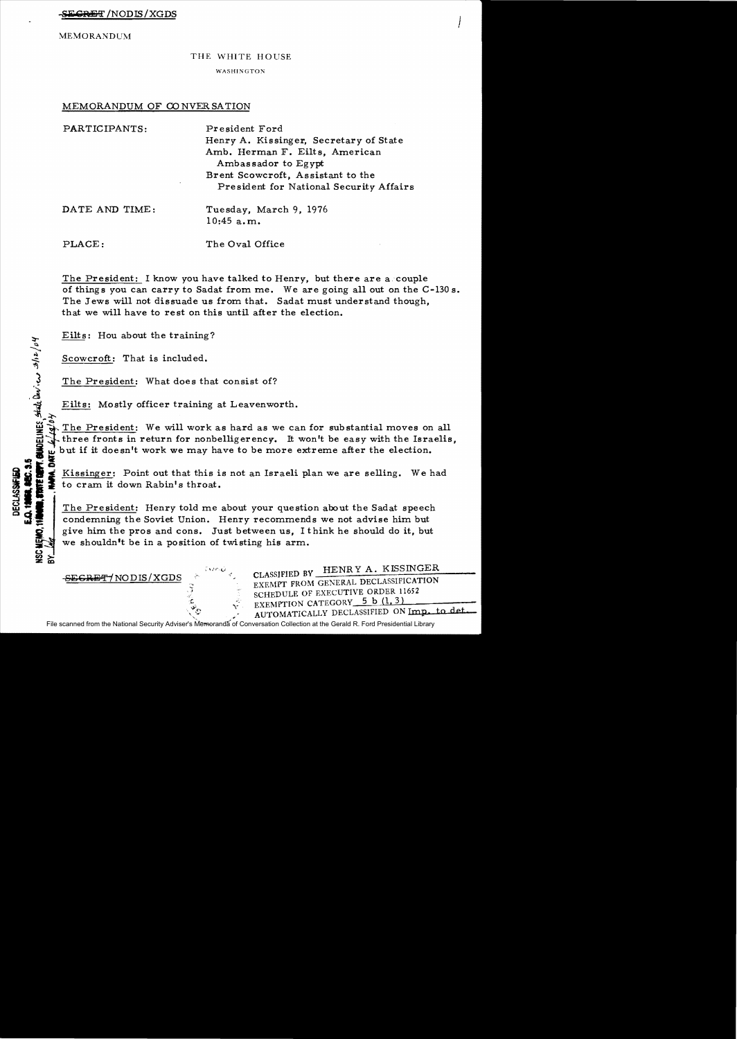MEMORANDUM

## THE WHITE HOUSE

WASHINGTON

## MEMORANDUM OF CONVERSATION

| PARTICIPANTS:  | President Ford<br>Henry A. Kissinger, Secretary of State<br>Amb. Herman F. Eilts, American<br>Ambassador to Egypt<br>Brent Scowcroft, Assistant to the<br>President for National Security Affairs |
|----------------|---------------------------------------------------------------------------------------------------------------------------------------------------------------------------------------------------|
| DATE AND TIME: | Tuesday, March 9, 1976<br>10:45 a.m.                                                                                                                                                              |
| PLACE:         | The Oval Office                                                                                                                                                                                   |

The President: I know you have talked to Henry, but there are a couple of things you can carry to Sadat from me. We are going all out on the C-130 s. The Jews will not dissuade us from that. Sadat must understand though, that we will have to rest on this until after the election.

Eilts: Hou about the training?

Scowcroft: That is included.

-SECRET/NODIS/XGDS

 $\tilde{\mathcal{L}}$ 

 $\tilde{d}$ 

\_>

 $\frac{1}{2}$  The President: What does that consist of?

Eilts: Mostly officer training at Leavenworth.

The President: We will work as hard as we can for substantial moves on all The President: Henry told me about your question about the Sadat speech

The President: Henry told me about your question about the Sadat speech  $\mathbb{G}$   $\mathbb{F}$  condemning the Soviet Union. Henry recommends we not advise him but The President: Henry told me about your question about the Sadat speech<br>condemning the Soviet Union. Henry recommends we not advise him but<br>give him the pros and cons. Just between us, I think he should do it, but<br>we shoul we shouldn't be in a position of twisting his arm.

> CLASSIFIED BY HENR Y A. KISSINGER EXEMPT FROM GENERAL DECLASSIFICATION SCHEDULE OF EXECUTIVE ORDER 11652 EXEMPTION CATEGORY 5 b (1, 3) AUTOMATICALLY DECLASSIFIED ON Imp. to det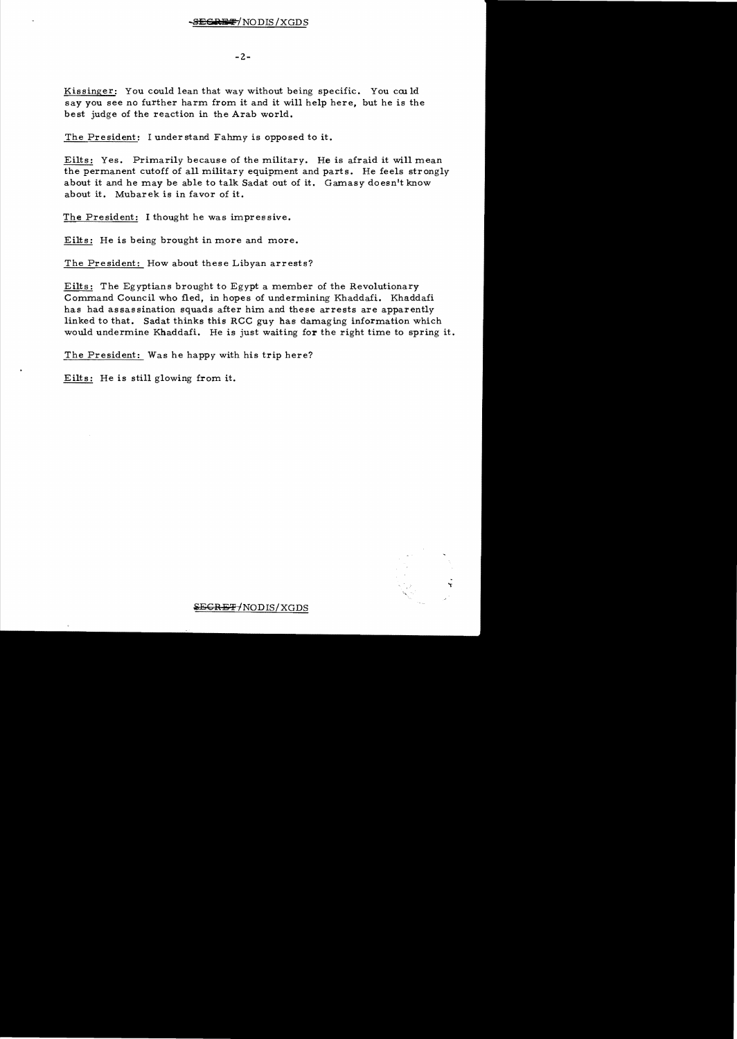$-2-$ 

Kissinger: You could lean that way without being specific. You could say you see no further harm from it and it will help here, but he is the best judge of the reaction in the Arab world.

The President: I understand Fahmy is opposed to it.

Eilts: Yes. Primarily because of the military. He is afraid it will mean the permanent cutoff of all military equipment and parts. He feels strongly about it and he may be able to talk Sadat out of it. Gamasy doesn't know about it. Mubarek is in favor of it.

The President: I thought he was impressive.

Eilts: He is being brought in more and more.

The President: How about these Libyan arrests?

Eilts: The Egyptians brought to Egypt a member of the Revolutionary Command Council who fled, in hopes of undermining Khaddafi. Khaddafi has had assassination squads after him and these arrests are apparently linked to that. Sadat thinks this RCC guy has damaging information which would undermine Khaddafi. He is just waiting for the right time to spring it.

The President: Was he happy with his trip here?

Eilts: He is still glowing from it.



 $\overline{\text{SEGREF/NODIS/XGDS}}$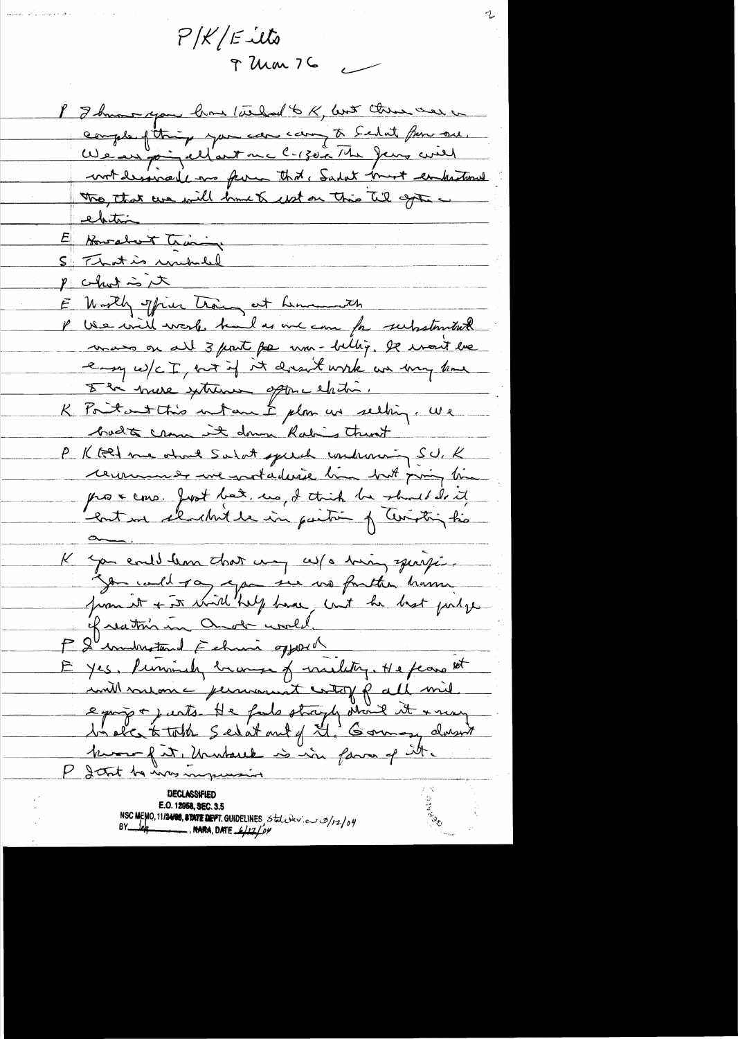$P/K/E$ -ilts  $9$  Um  $76$ 

I I know you how the fait to K, but there were a comple fitting you can came to Schut fun one. We are point und le 130 à The Jeux will wit desired as form that, Sadat must enhatimed The that we will brut a wit on this til age -<u>ebitin</u> E Bowabert Training S That is unubiled p chat is it E Worth office trang at hemanneth P USe will work had as me can for substantial mans on all 3 port for um-bellig. It won't be eny w/c I not if it doesn't work we wany home 8 hi vouse situaux optime et doi. K Poitant this intam & plan us selling, we badts crown it down Rabins than't P K tell me ohnt Salat speech condension SU, K remment une protaderie line but pring time prox cons. Jost bat, us, I think he should do it Control elevelette in partir of Cintring his K you evil lem that my w/o him, quipi. igen could ray again ine mo fontar trains of reatons in Onde uned. P. I imministered Echuni opposel E yes, Pennindy brange of meeting, He fears set will soutance personal with pall mil. e propre juste He fals strayly itend it + may la sic tothe Sedat and of H. Goman darwit Monday in Markouk is in favor of it

**DECLASSIFIED** NSC MEMO, 11/2400, STATE DEPT. GUIDELINES, State Dev. en 3/12/04